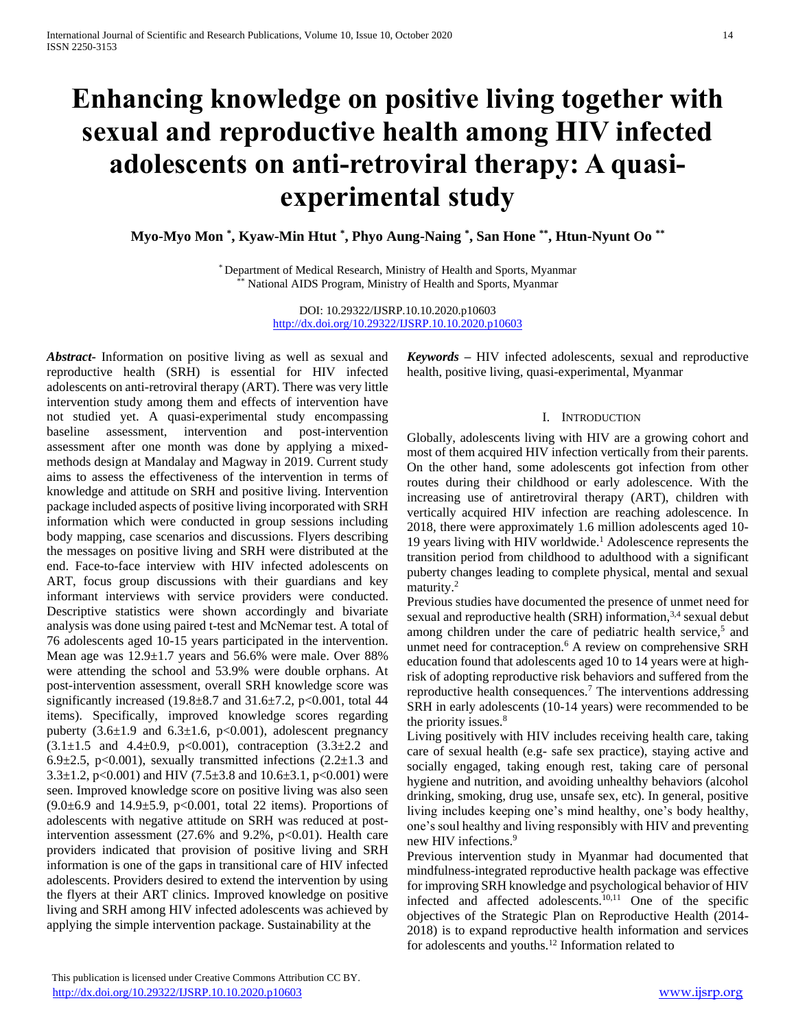# **Enhancing knowledge on positive living together with sexual and reproductive health among HIV infected adolescents on anti-retroviral therapy: A quasiexperimental study**

**Myo-Myo Mon \* , Kyaw-Min Htut \* , Phyo Aung-Naing \* , San Hone \*\* , Htun-Nyunt Oo \*\***

\* Department of Medical Research, Ministry of Health and Sports, Myanmar National AIDS Program, Ministry of Health and Sports, Myanmar

> DOI: 10.29322/IJSRP.10.10.2020.p10603 <http://dx.doi.org/10.29322/IJSRP.10.10.2020.p10603>

*Abstract***-** Information on positive living as well as sexual and reproductive health (SRH) is essential for HIV infected adolescents on anti-retroviral therapy (ART). There was very little intervention study among them and effects of intervention have not studied yet. A quasi-experimental study encompassing baseline assessment, intervention and post-intervention assessment after one month was done by applying a mixedmethods design at Mandalay and Magway in 2019. Current study aims to assess the effectiveness of the intervention in terms of knowledge and attitude on SRH and positive living. Intervention package included aspects of positive living incorporated with SRH information which were conducted in group sessions including body mapping, case scenarios and discussions. Flyers describing the messages on positive living and SRH were distributed at the end. Face-to-face interview with HIV infected adolescents on ART, focus group discussions with their guardians and key informant interviews with service providers were conducted. Descriptive statistics were shown accordingly and bivariate analysis was done using paired t-test and McNemar test. A total of 76 adolescents aged 10-15 years participated in the intervention. Mean age was 12.9±1.7 years and 56.6% were male. Over 88% were attending the school and 53.9% were double orphans. At post-intervention assessment, overall SRH knowledge score was significantly increased (19.8 $\pm$ 8.7 and 31.6 $\pm$ 7.2, p<0.001, total 44 items). Specifically, improved knowledge scores regarding puberty  $(3.6\pm1.9 \text{ and } 6.3\pm1.6, \text{ p} < 0.001)$ , adolescent pregnancy  $(3.1 \pm 1.5 \text{ and } 4.4 \pm 0.9, \text{ p} < 0.001), \text{ contraception } (3.3 \pm 2.2 \text{ and }$ 6.9 $\pm$ 2.5, p<0.001), sexually transmitted infections (2.2 $\pm$ 1.3 and 3.3 $\pm$ 1.2, p<0.001) and HIV (7.5 $\pm$ 3.8 and 10.6 $\pm$ 3.1, p<0.001) were seen. Improved knowledge score on positive living was also seen  $(9.0±6.9$  and  $14.9±5.9$ ,  $p<0.001$ , total 22 items). Proportions of adolescents with negative attitude on SRH was reduced at postintervention assessment (27.6% and 9.2%,  $p<0.01$ ). Health care providers indicated that provision of positive living and SRH information is one of the gaps in transitional care of HIV infected adolescents. Providers desired to extend the intervention by using the flyers at their ART clinics. Improved knowledge on positive living and SRH among HIV infected adolescents was achieved by applying the simple intervention package. Sustainability at the

*Keywords –* HIV infected adolescents, sexual and reproductive health, positive living, quasi-experimental, Myanmar

# I. INTRODUCTION

Globally, adolescents living with HIV are a growing cohort and most of them acquired HIV infection vertically from their parents. On the other hand, some adolescents got infection from other routes during their childhood or early adolescence. With the increasing use of antiretroviral therapy (ART), children with vertically acquired HIV infection are reaching adolescence. In 2018, there were approximately 1.6 million adolescents aged 10- 19 years living with HIV worldwide.<sup>1</sup> Adolescence represents the transition period from childhood to adulthood with a significant puberty changes leading to complete physical, mental and sexual maturity.<sup>2</sup>

Previous studies have documented the presence of unmet need for sexual and reproductive health (SRH) information,<sup>3,4</sup> sexual debut among children under the care of pediatric health service,<sup>5</sup> and unmet need for contraception.<sup>6</sup> A review on comprehensive SRH education found that adolescents aged 10 to 14 years were at highrisk of adopting reproductive risk behaviors and suffered from the reproductive health consequences.<sup>7</sup> The interventions addressing SRH in early adolescents (10-14 years) were recommended to be the priority issues.<sup>8</sup>

Living positively with HIV includes receiving health care, taking care of sexual health (e.g- safe sex practice), staying active and socially engaged, taking enough rest, taking care of personal hygiene and nutrition, and avoiding unhealthy behaviors (alcohol drinking, smoking, drug use, unsafe sex, etc). In general, positive living includes keeping one's mind healthy, one's body healthy, one's soul healthy and living responsibly with HIV and preventing new HIV infections.<sup>9</sup>

Previous intervention study in Myanmar had documented that mindfulness-integrated reproductive health package was effective for improving SRH knowledge and psychological behavior of HIV infected and affected adolescents.10,11 One of the specific objectives of the Strategic Plan on Reproductive Health (2014- 2018) is to expand reproductive health information and services for adolescents and youths.<sup>12</sup> Information related to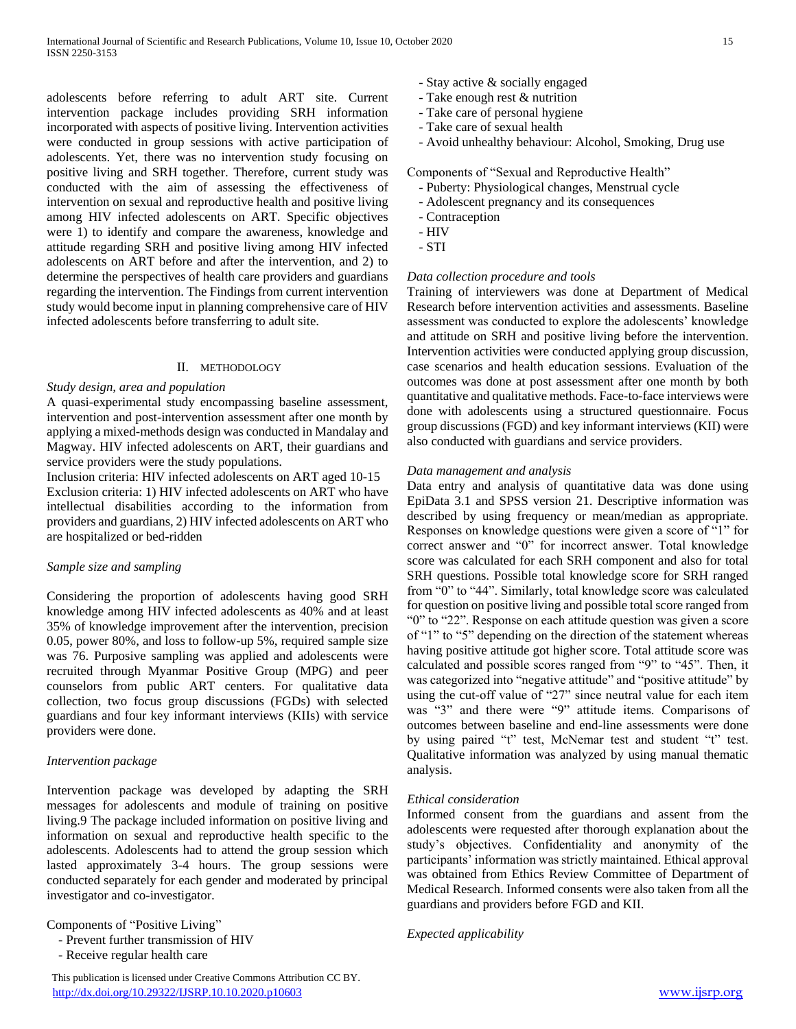adolescents before referring to adult ART site. Current intervention package includes providing SRH information incorporated with aspects of positive living. Intervention activities were conducted in group sessions with active participation of adolescents. Yet, there was no intervention study focusing on positive living and SRH together. Therefore, current study was conducted with the aim of assessing the effectiveness of intervention on sexual and reproductive health and positive living among HIV infected adolescents on ART. Specific objectives were 1) to identify and compare the awareness, knowledge and attitude regarding SRH and positive living among HIV infected adolescents on ART before and after the intervention, and 2) to determine the perspectives of health care providers and guardians regarding the intervention. The Findings from current intervention study would become input in planning comprehensive care of HIV infected adolescents before transferring to adult site.

# II. METHODOLOGY

# *Study design, area and population*

A quasi-experimental study encompassing baseline assessment, intervention and post-intervention assessment after one month by applying a mixed-methods design was conducted in Mandalay and Magway. HIV infected adolescents on ART, their guardians and service providers were the study populations.

Inclusion criteria: HIV infected adolescents on ART aged 10-15 Exclusion criteria: 1) HIV infected adolescents on ART who have intellectual disabilities according to the information from providers and guardians, 2) HIV infected adolescents on ART who are hospitalized or bed-ridden

# *Sample size and sampling*

Considering the proportion of adolescents having good SRH knowledge among HIV infected adolescents as 40% and at least 35% of knowledge improvement after the intervention, precision 0.05, power 80%, and loss to follow-up 5%, required sample size was 76. Purposive sampling was applied and adolescents were recruited through Myanmar Positive Group (MPG) and peer counselors from public ART centers. For qualitative data collection, two focus group discussions (FGDs) with selected guardians and four key informant interviews (KIIs) with service providers were done.

# *Intervention package*

Intervention package was developed by adapting the SRH messages for adolescents and module of training on positive living.9 The package included information on positive living and information on sexual and reproductive health specific to the adolescents. Adolescents had to attend the group session which lasted approximately 3-4 hours. The group sessions were conducted separately for each gender and moderated by principal investigator and co-investigator.

Components of "Positive Living"

- Prevent further transmission of HIV

- Receive regular health care

- Stay active & socially engaged
- Take enough rest & nutrition
- Take care of personal hygiene
- Take care of sexual health
- Avoid unhealthy behaviour: Alcohol, Smoking, Drug use

Components of "Sexual and Reproductive Health"

- Puberty: Physiological changes, Menstrual cycle
- Adolescent pregnancy and its consequences
- Contraception
- HIV
- STI

# *Data collection procedure and tools*

Training of interviewers was done at Department of Medical Research before intervention activities and assessments. Baseline assessment was conducted to explore the adolescents' knowledge and attitude on SRH and positive living before the intervention. Intervention activities were conducted applying group discussion, case scenarios and health education sessions. Evaluation of the outcomes was done at post assessment after one month by both quantitative and qualitative methods. Face-to-face interviews were done with adolescents using a structured questionnaire. Focus group discussions (FGD) and key informant interviews (KII) were also conducted with guardians and service providers.

# *Data management and analysis*

Data entry and analysis of quantitative data was done using EpiData 3.1 and SPSS version 21. Descriptive information was described by using frequency or mean/median as appropriate. Responses on knowledge questions were given a score of "1" for correct answer and "0" for incorrect answer. Total knowledge score was calculated for each SRH component and also for total SRH questions. Possible total knowledge score for SRH ranged from "0" to "44". Similarly, total knowledge score was calculated for question on positive living and possible total score ranged from "0" to "22". Response on each attitude question was given a score of "1" to "5" depending on the direction of the statement whereas having positive attitude got higher score. Total attitude score was calculated and possible scores ranged from "9" to "45". Then, it was categorized into "negative attitude" and "positive attitude" by using the cut-off value of "27" since neutral value for each item was "3" and there were "9" attitude items. Comparisons of outcomes between baseline and end-line assessments were done by using paired "t" test, McNemar test and student "t" test. Qualitative information was analyzed by using manual thematic analysis.

# *Ethical consideration*

Informed consent from the guardians and assent from the adolescents were requested after thorough explanation about the study's objectives. Confidentiality and anonymity of the participants' information was strictly maintained. Ethical approval was obtained from Ethics Review Committee of Department of Medical Research. Informed consents were also taken from all the guardians and providers before FGD and KII.

*Expected applicability*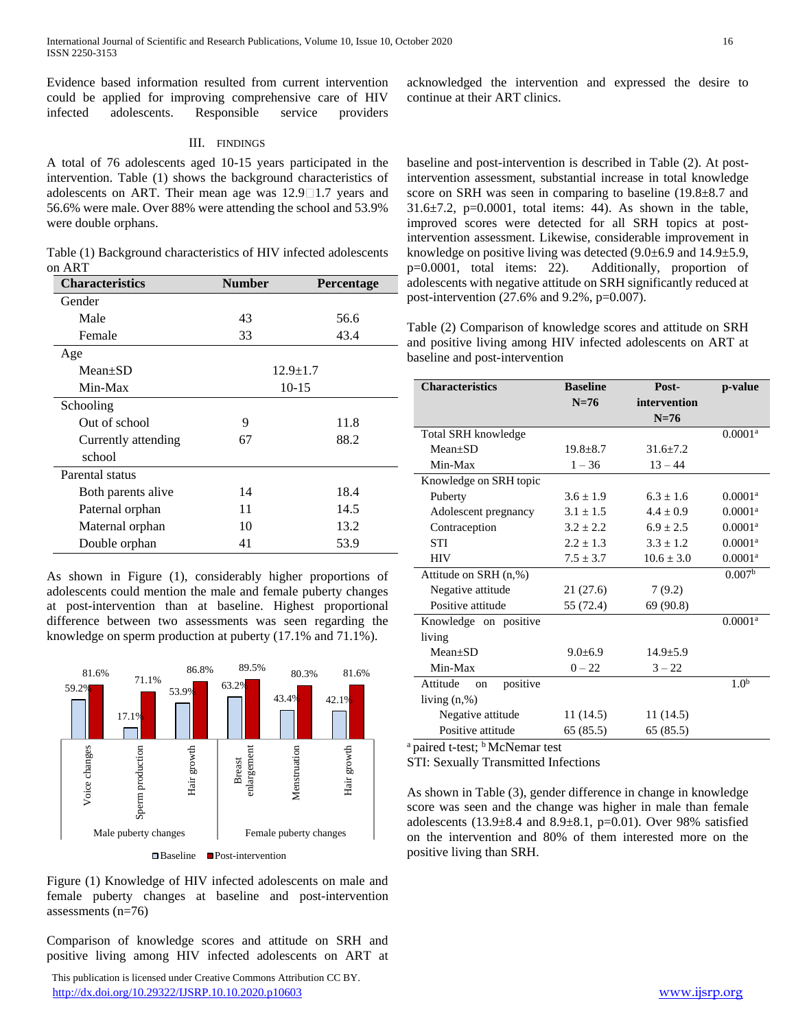Evidence based information resulted from current intervention could be applied for improving comprehensive care of HIV infected adolescents. Responsible service providers

# III. FINDINGS

A total of 76 adolescents aged 10-15 years participated in the intervention. Table (1) shows the background characteristics of adolescents on ART. Their mean age was  $12.9 \square 1.7$  years and 56.6% were male. Over 88% were attending the school and 53.9% were double orphans.

Table (1) Background characteristics of HIV infected adolescents on ART

| <b>Characteristics</b> | <b>Number</b>  | Percentage |  |
|------------------------|----------------|------------|--|
| Gender                 |                |            |  |
| Male                   | 43             | 56.6       |  |
| Female                 | 33             | 43.4       |  |
| Age                    |                |            |  |
| $Mean+SD$              | $12.9 \pm 1.7$ |            |  |
| Min-Max                | $10 - 15$      |            |  |
| Schooling              |                |            |  |
| Out of school          | 9              | 11.8       |  |
| Currently attending    | 67             | 88.2       |  |
| school                 |                |            |  |
| Parental status        |                |            |  |
| Both parents alive     | 14             | 18.4       |  |
| Paternal orphan        | 11             | 14.5       |  |
| Maternal orphan        | 10             | 13.2       |  |
| Double orphan          | 41             | 53.9       |  |

As shown in Figure (1), considerably higher proportions of adolescents could mention the male and female puberty changes at post-intervention than at baseline. Highest proportional difference between two assessments was seen regarding the knowledge on sperm production at puberty (17.1% and 71.1%).



Baseline Post-intervention

Figure (1) Knowledge of HIV infected adolescents on male and female puberty changes at baseline and post-intervention assessments (n=76)

Comparison of knowledge scores and attitude on SRH and positive living among HIV infected adolescents on ART at

 This publication is licensed under Creative Commons Attribution CC BY. <http://dx.doi.org/10.29322/IJSRP.10.10.2020.p10603> [www.ijsrp.org](http://ijsrp.org/)

acknowledged the intervention and expressed the desire to continue at their ART clinics.

baseline and post-intervention is described in Table (2). At postintervention assessment, substantial increase in total knowledge score on SRH was seen in comparing to baseline (19.8±8.7 and  $31.6\pm7.2$ ,  $p=0.0001$ , total items: 44). As shown in the table, improved scores were detected for all SRH topics at postintervention assessment. Likewise, considerable improvement in knowledge on positive living was detected (9.0±6.9 and 14.9±5.9, p=0.0001, total items: 22). Additionally, proportion of adolescents with negative attitude on SRH significantly reduced at post-intervention (27.6% and 9.2%, p=0.007).

Table (2) Comparison of knowledge scores and attitude on SRH and positive living among HIV infected adolescents on ART at baseline and post-intervention

| <b>Characteristics</b>     | <b>Baseline</b> | Post-          | p-value               |
|----------------------------|-----------------|----------------|-----------------------|
|                            | $N=76$          | intervention   |                       |
|                            |                 | $N=76$         |                       |
| Total SRH knowledge        |                 |                | $0.0001$ <sup>a</sup> |
| $Mean+SD$                  | $19.8 \pm 8.7$  | $31.6 \pm 7.2$ |                       |
| Min-Max                    | $1 - 36$        | $13 - 44$      |                       |
| Knowledge on SRH topic     |                 |                |                       |
| Puberty                    | $3.6 \pm 1.9$   | $6.3 + 1.6$    | $0.0001$ <sup>a</sup> |
| Adolescent pregnancy       | $3.1 \pm 1.5$   | $4.4 + 0.9$    | 0.0001 <sup>a</sup>   |
| Contraception              | $3.2 \pm 2.2$   | $6.9 \pm 2.5$  | $0.0001$ <sup>a</sup> |
| <b>STI</b>                 | $2.2 \pm 1.3$   | $3.3 \pm 1.2$  | $0.0001$ <sup>a</sup> |
| <b>HIV</b>                 | $7.5 \pm 3.7$   | $10.6 \pm 3.0$ | $0.0001$ <sup>a</sup> |
| Attitude on SRH (n,%)      |                 |                | 0.007 <sup>b</sup>    |
| Negative attitude          | 21 (27.6)       | 7(9.2)         |                       |
| Positive attitude          | 55 (72.4)       | 69 (90.8)      |                       |
| Knowledge on positive      |                 |                | $0.0001$ <sup>a</sup> |
| living                     |                 |                |                       |
| $Mean \pm SD$              | $9.0 \pm 6.9$   | $14.9 \pm 5.9$ |                       |
| Min-Max                    | $0 - 22$        | $3 - 22$       |                       |
| positive<br>Attitude<br>on |                 |                | 1.0 <sup>b</sup>      |
| living $(n, %)$            |                 |                |                       |
| Negative attitude          | 11(14.5)        | 11(14.5)       |                       |
| Positive attitude          | 65(85.5)        | 65(85.5)       |                       |
| $\frac{1}{2}$              |                 |                |                       |

<sup>a</sup> paired t-test; <sup>b</sup> McNemar test

STI: Sexually Transmitted Infections

As shown in Table (3), gender difference in change in knowledge score was seen and the change was higher in male than female adolescents (13.9 $\pm$ 8.4 and 8.9 $\pm$ 8.1, p=0.01). Over 98% satisfied on the intervention and 80% of them interested more on the positive living than SRH.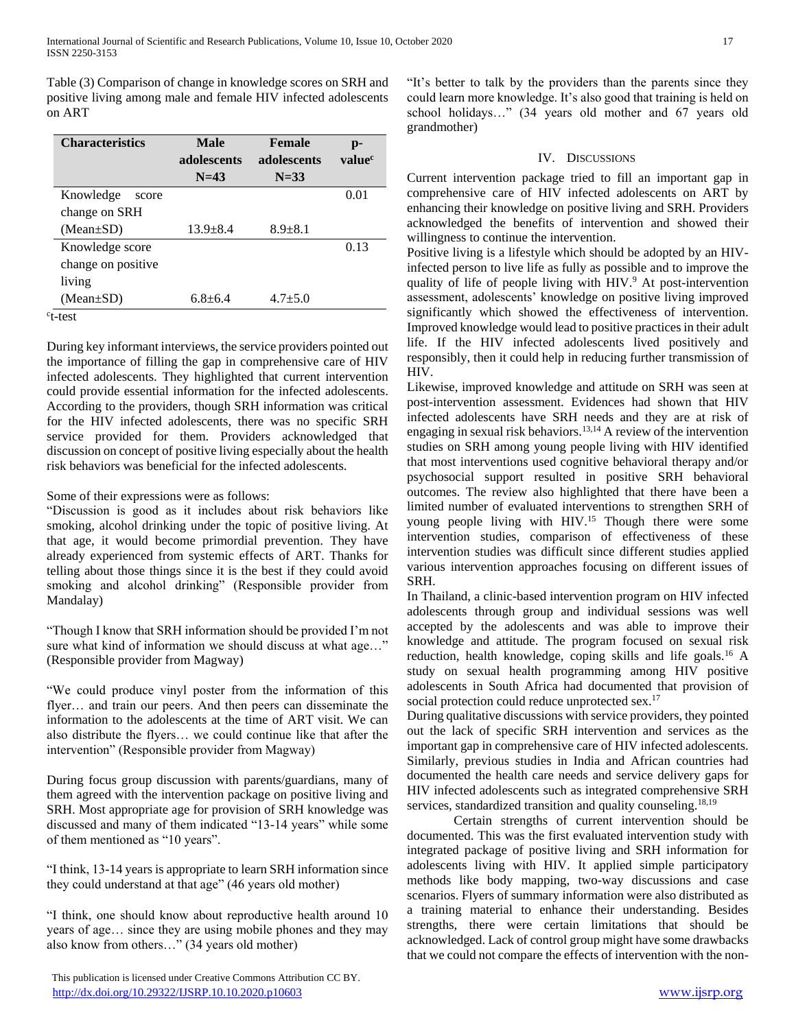Table (3) Comparison of change in knowledge scores on SRH and positive living among male and female HIV infected adolescents on ART

| <b>Male</b><br>adolescents | <b>Female</b><br>adolescents | $\mathbf{p}$ -<br>value <sup>c</sup> |
|----------------------------|------------------------------|--------------------------------------|
|                            |                              |                                      |
|                            |                              | 0.01                                 |
|                            |                              |                                      |
| $13.9 + 8.4$               | $8.9 + 8.1$                  |                                      |
|                            |                              | 0.13                                 |
|                            |                              |                                      |
|                            |                              |                                      |
| $6.8 + 6.4$                | $4.7 + 5.0$                  |                                      |
|                            | $N=43$                       | $N=33$                               |

c t-test

During key informant interviews, the service providers pointed out the importance of filling the gap in comprehensive care of HIV infected adolescents. They highlighted that current intervention could provide essential information for the infected adolescents. According to the providers, though SRH information was critical for the HIV infected adolescents, there was no specific SRH service provided for them. Providers acknowledged that discussion on concept of positive living especially about the health risk behaviors was beneficial for the infected adolescents.

Some of their expressions were as follows:

"Discussion is good as it includes about risk behaviors like smoking, alcohol drinking under the topic of positive living. At that age, it would become primordial prevention. They have already experienced from systemic effects of ART. Thanks for telling about those things since it is the best if they could avoid smoking and alcohol drinking" (Responsible provider from Mandalay)

"Though I know that SRH information should be provided I'm not sure what kind of information we should discuss at what age..." (Responsible provider from Magway)

"We could produce vinyl poster from the information of this flyer… and train our peers. And then peers can disseminate the information to the adolescents at the time of ART visit. We can also distribute the flyers… we could continue like that after the intervention" (Responsible provider from Magway)

During focus group discussion with parents/guardians, many of them agreed with the intervention package on positive living and SRH. Most appropriate age for provision of SRH knowledge was discussed and many of them indicated "13-14 years" while some of them mentioned as "10 years".

"I think, 13-14 years is appropriate to learn SRH information since they could understand at that age" (46 years old mother)

"I think, one should know about reproductive health around 10 years of age… since they are using mobile phones and they may also know from others…" (34 years old mother)

 This publication is licensed under Creative Commons Attribution CC BY. <http://dx.doi.org/10.29322/IJSRP.10.10.2020.p10603> [www.ijsrp.org](http://ijsrp.org/)

"It's better to talk by the providers than the parents since they could learn more knowledge. It's also good that training is held on school holidays…" (34 years old mother and 67 years old grandmother)

# IV. DISCUSSIONS

Current intervention package tried to fill an important gap in comprehensive care of HIV infected adolescents on ART by enhancing their knowledge on positive living and SRH. Providers acknowledged the benefits of intervention and showed their willingness to continue the intervention.

Positive living is a lifestyle which should be adopted by an HIVinfected person to live life as fully as possible and to improve the quality of life of people living with HIV.<sup>9</sup> At post-intervention assessment, adolescents' knowledge on positive living improved significantly which showed the effectiveness of intervention. Improved knowledge would lead to positive practices in their adult life. If the HIV infected adolescents lived positively and responsibly, then it could help in reducing further transmission of HIV.

Likewise, improved knowledge and attitude on SRH was seen at post-intervention assessment. Evidences had shown that HIV infected adolescents have SRH needs and they are at risk of engaging in sexual risk behaviors.13,14 A review of the intervention studies on SRH among young people living with HIV identified that most interventions used cognitive behavioral therapy and/or psychosocial support resulted in positive SRH behavioral outcomes. The review also highlighted that there have been a limited number of evaluated interventions to strengthen SRH of young people living with HIV.<sup>15</sup> Though there were some intervention studies, comparison of effectiveness of these intervention studies was difficult since different studies applied various intervention approaches focusing on different issues of SRH.

In Thailand, a clinic-based intervention program on HIV infected adolescents through group and individual sessions was well accepted by the adolescents and was able to improve their knowledge and attitude. The program focused on sexual risk reduction, health knowledge, coping skills and life goals.<sup>16</sup> A study on sexual health programming among HIV positive adolescents in South Africa had documented that provision of social protection could reduce unprotected sex.<sup>17</sup>

During qualitative discussions with service providers, they pointed out the lack of specific SRH intervention and services as the important gap in comprehensive care of HIV infected adolescents. Similarly, previous studies in India and African countries had documented the health care needs and service delivery gaps for HIV infected adolescents such as integrated comprehensive SRH services, standardized transition and quality counseling.<sup>18,19</sup>

Certain strengths of current intervention should be documented. This was the first evaluated intervention study with integrated package of positive living and SRH information for adolescents living with HIV. It applied simple participatory methods like body mapping, two-way discussions and case scenarios. Flyers of summary information were also distributed as a training material to enhance their understanding. Besides strengths, there were certain limitations that should be acknowledged. Lack of control group might have some drawbacks that we could not compare the effects of intervention with the non